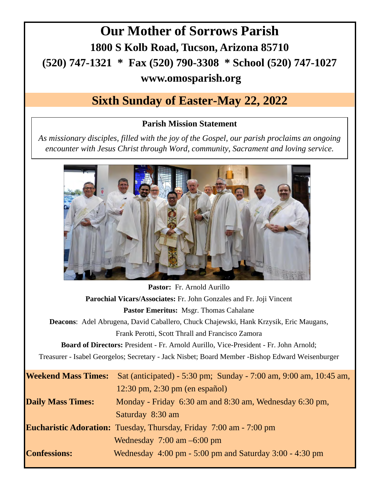## **Our Mother of Sorrows Parish 1800 S Kolb Road, Tucson, Arizona 85710 (520) 747-1321 \* Fax (520) 790-3308 \* School (520) 747-1027 www.omosparish.org**

## **Sixth Sunday of Easter-May 22, 2022**

## **Parish Mission Statement**

*As missionary disciples, filled with the joy of the Gospel, our parish proclaims an ongoing encounter with Jesus Christ through Word, community, Sacrament and loving service.* 



| Pastor: Fr. Arnold Aurillo                                                                      |
|-------------------------------------------------------------------------------------------------|
| Parochial Vicars/Associates: Fr. John Gonzales and Fr. Joji Vincent                             |
| <b>Pastor Emeritus: Msgr. Thomas Cahalane</b>                                                   |
| <b>Deacons:</b> Adel Abrugena, David Caballero, Chuck Chajewski, Hank Krzysik, Eric Maugans,    |
| Frank Perotti, Scott Thrall and Francisco Zamora                                                |
| <b>Board of Directors:</b> President - Fr. Arnold Aurillo, Vice-President - Fr. John Arnold;    |
| Treasurer - Isabel Georgelos; Secretary - Jack Nisbet; Board Member -Bishop Edward Weisenburger |
| Sat (anticipated) - 5:30 pm; Sunday - 7:00 am, 9:00 am, 10:45 am,                               |
| $12:30 \text{ pm}$ , $2:30 \text{ pm}$ (en español)                                             |
| Monday - Friday 6:30 am and 8:30 am, Wednesday 6:30 pm,                                         |
| Saturday 8:30 am                                                                                |
| <b>Eucharistic Adoration:</b> Tuesday, Thursday, Friday 7:00 am - 7:00 pm                       |
| Wednesday $7:00 \text{ am } -6:00 \text{ pm}$                                                   |
| Wednesday $4:00 \text{ pm} - 5:00 \text{ pm}$ and Saturday 3:00 - 4:30 pm                       |
|                                                                                                 |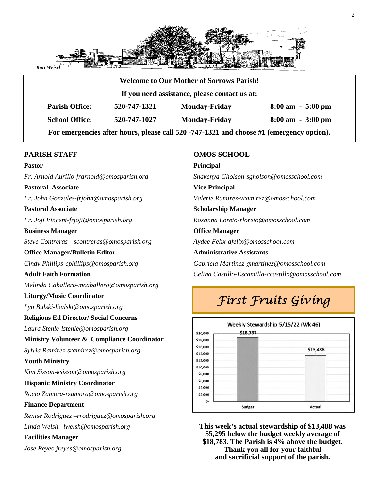

|                       |                                               | <b>Welcome to Our Mother of Sorrows Parish!</b> |                                     |  |  |  |
|-----------------------|-----------------------------------------------|-------------------------------------------------|-------------------------------------|--|--|--|
|                       | If you need assistance, please contact us at: |                                                 |                                     |  |  |  |
| <b>Parish Office:</b> | 520-747-1321                                  | <b>Monday-Friday</b>                            | $8:00 \text{ am } -5:00 \text{ pm}$ |  |  |  |
| <b>School Office:</b> | 520-747-1027                                  | <b>Monday-Friday</b>                            | $8:00 \text{ am } -3:00 \text{ pm}$ |  |  |  |

### **PARISH STAFF**

#### **Pastor**

*Fr. Arnold Aurillo-frarnold@omosparish.org* 

## **Pastoral Associate**

*Fr. John Gonzales-frjohn@omosparish.org* 

#### **Pastoral Associate**

*Fr. Joji Vincent-frjoji@omosparish.org*

#### **Business Manager**

*Steve Contreras—scontreras@omosparish.org* 

### **Office Manager/Bulletin Editor**

*Cindy Phillips-cphillips@omosparish.org* 

### **Adult Faith Formation**

*Melinda Caballero-mcaballero@omosparish.org* 

### **Liturgy/Music Coordinator**

*Lyn Bulski-lbulski@omosparish.org* 

### **Religious Ed Director/ Social Concerns**

*Laura Stehle-lstehle@omosparish.org*

### **Ministry Volunteer & Compliance Coordinator**

*Sylvia Ramirez-sramirez@omosparish.org*

### **Youth Ministry**

*Kim Sisson-ksisson@omosparish.org* 

### **Hispanic Ministry Coordinator**

*Rocio Zamora-rzamora@omosparish.org* 

### **Finance Department**

*Renise Rodriguez –rrodriguez@omosparish.org Linda Welsh –lwelsh@omosparish.org* 

### **Facilities Manager**

*Jose Reyes-jreyes@omosparish.org* 

### **OMOS SCHOOL**

**Principal** *Shakenya Gholson-sgholson@omosschool.com*  **Vice Principal** *Valerie Ramirez-vramirez@omosschool.com*  **Scholarship Manager** *Roxanna Loreto-rloreto@omosschool.com*  **Office Manager**  *Aydee Felix-afelix@omosschool.com*  **Administrative Assistants**

*Gabriela Martinez-gmartinez@omosschool.com Celina Castillo-Escamilla-ccastillo@omosschool.com* 

## *First Fruits Giving*



**This week's actual stewardship of \$13,488 was \$5,295 below the budget weekly average of \$18,783. The Parish is 4% above the budget. Thank you all for your faithful and sacrificial support of the parish.**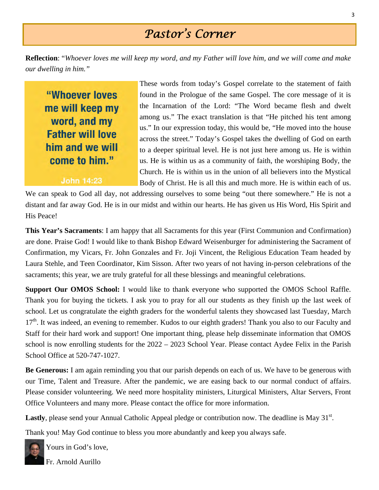## *Pastor's Corner*

**Reflection**: "*Whoever loves me will keep my word, and my Father will love him, and we will come and make our dwelling in him."* 

"Whoever loves me will keep my word, and my **Father will love** him and we will come to him."

John 14:23

These words from today's Gospel correlate to the statement of faith found in the Prologue of the same Gospel. The core message of it is the Incarnation of the Lord: "The Word became flesh and dwelt among us." The exact translation is that "He pitched his tent among us." In our expression today, this would be, "He moved into the house across the street." Today's Gospel takes the dwelling of God on earth to a deeper spiritual level. He is not just here among us. He is within us. He is within us as a community of faith, the worshiping Body, the Church. He is within us in the union of all believers into the Mystical Body of Christ. He is all this and much more. He is within each of us.

We can speak to God all day, not addressing ourselves to some being "out there somewhere." He is not a distant and far away God. He is in our midst and within our hearts. He has given us His Word, His Spirit and His Peace!

**This Year's Sacraments**: I am happy that all Sacraments for this year (First Communion and Confirmation) are done. Praise God! I would like to thank Bishop Edward Weisenburger for administering the Sacrament of Confirmation, my Vicars, Fr. John Gonzales and Fr. Joji Vincent, the Religious Education Team headed by Laura Stehle, and Teen Coordinator, Kim Sisson. After two years of not having in-person celebrations of the sacraments; this year, we are truly grateful for all these blessings and meaningful celebrations.

**Support Our OMOS School:** I would like to thank everyone who supported the OMOS School Raffle. Thank you for buying the tickets. I ask you to pray for all our students as they finish up the last week of school. Let us congratulate the eighth graders for the wonderful talents they showcased last Tuesday, March 17<sup>th</sup>. It was indeed, an evening to remember. Kudos to our eighth graders! Thank you also to our Faculty and Staff for their hard work and support! One important thing, please help disseminate information that OMOS school is now enrolling students for the 2022 – 2023 School Year. Please contact Aydee Felix in the Parish School Office at 520-747-1027.

**Be Generous:** I am again reminding you that our parish depends on each of us. We have to be generous with our Time, Talent and Treasure. After the pandemic, we are easing back to our normal conduct of affairs. Please consider volunteering. We need more hospitality ministers, Liturgical Ministers, Altar Servers, Front Office Volunteers and many more. Please contact the office for more information.

**Lastly**, please send your Annual Catholic Appeal pledge or contribution now. The deadline is May 31<sup>st</sup>.

Thank you! May God continue to bless you more abundantly and keep you always safe.

Yours in God's love,

Fr. Arnold Aurillo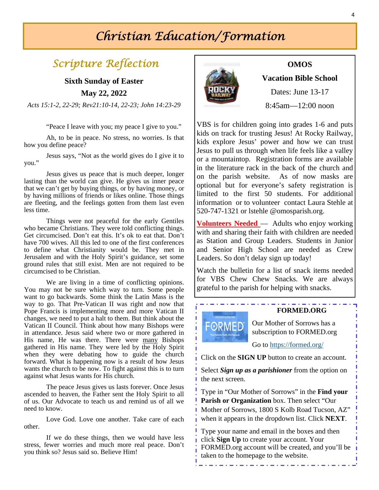## *Christian Education/Formation*

## *Scripture Reflection*

**Sixth Sunday of Easter May 22, 2022** 

*Acts 15:1-2, 22-29; Rev21:10-14, 22-23; John 14:23-29* 

"Peace I leave with you; my peace I give to you."

 Ah, to be in peace. No stress, no worries. Is that how you define peace?

 Jesus says, "Not as the world gives do I give it to you."

 Jesus gives us peace that is much deeper, longer lasting than the world can give. He gives us inner peace that we can't get by buying things, or by having money, or by having millions of friends or likes online. Those things are fleeting, and the feelings gotten from them last even less time.

 Things were not peaceful for the early Gentiles who became Christians. They were told conflicting things. Get circumcised. Don't eat this. It's ok to eat that. Don't have 700 wives. All this led to one of the first conferences to define what Christianity would be. They met in Jerusalem and with the Holy Spirit's guidance, set some ground rules that still exist. Men are not required to be circumcised to be Christian.

 We are living in a time of conflicting opinions. You may not be sure which way to turn. Some people want to go backwards. Some think the Latin Mass is the way to go. That Pre-Vatican II was right and now that Pope Francis is implementing more and more Vatican II changes, we need to put a halt to them. But think about the Vatican II Council. Think about how many Bishops were in attendance. Jesus said where two or more gathered in His name, He was there. There were many Bishops gathered in His name. They were led by the Holy Spirit when they were debating how to guide the church forward. What is happening now is a result of how Jesus wants the church to be now. To fight against this is to turn against what Jesus wants for His church.

The peace Jesus gives us lasts forever. Once Jesus ascended to heaven, the Father sent the Holy Spirit to all of us. Our Advocate to teach us and remind us of all we need to know.

Love God. Love one another. Take care of each other.

If we do these things, then we would have less stress, fewer worries and much more real peace. Don't you think so? Jesus said so. Believe Him!



### **OMOS**

**Vacation Bible School** 

Dates: June 13-17

8:45am—12:00 noon

VBS is for children going into grades 1-6 and puts kids on track for trusting Jesus! At Rocky Railway, kids explore Jesus' power and how we can trust Jesus to pull us through when life feels like a valley or a mountaintop. Registration forms are available in the literature rack in the back of the church and on the parish website. As of now masks are optional but for everyone's safety registration is limited to the first 50 students. For additional information or to volunteer contact Laura Stehle at 520-747-1321 or lstehle @omosparish.org.

**Volunteers Needed** — Adults who enjoy working with and sharing their faith with children are needed as Station and Group Leaders. Students in Junior and Senior High School are needed as Crew Leaders. So don't delay sign up today!

Watch the bulletin for a list of snack items needed for VBS Chew Chew Snacks. We are always grateful to the parish for helping with snacks.



### **FORMED.ORG**

Our Mother of Sorrows has a subscription to FORMED.org

Go to https://formed.org/

Click on the **SIGN UP** button to create an account.

Select *Sign up as a parishioner* from the option on the next screen.

Type in "Our Mother of Sorrows" in the **Find your Parish or Organization** box. Then select "Our Mother of Sorrows, 1800 S Kolb Road Tucson, AZ" when it appears in the dropdown list. Click **NEXT**.

Type your name and email in the boxes and then click **Sign Up** to create your account. Your FORMED.org account will be created, and you'll be taken to the homepage to the website.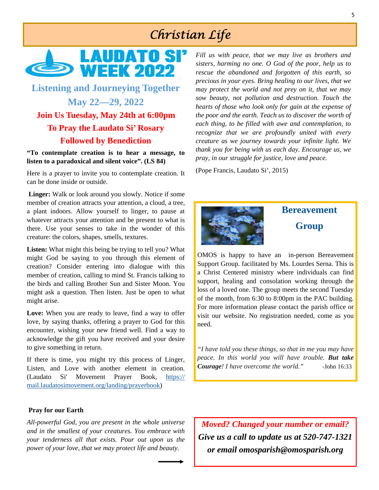## *Christian Life*



## **Listening and Journeying Together May 22—29, 2022 Join Us Tuesday, May 24th at 6:00pm To Pray the Laudato Si' Rosary Followed by Benediction**

**"To contemplate creation is to hear a message, to listen to a paradoxical and silent voice". (LS 84)**

Here is a prayer to invite you to contemplate creation. It can be done inside or outside.

**Linger:** Walk or look around you slowly. Notice if some member of creation attracts your attention, a cloud, a tree, a plant indoors. Allow yourself to linger, to pause at whatever attracts your attention and be present to what is there. Use your senses to take in the wonder of this creature: the colors, shapes, smells, textures.

**Listen:** What might this being be trying to tell you? What might God be saying to you through this element of creation? Consider entering into dialogue with this member of creation, calling to mind St. Francis talking to the birds and calling Brother Sun and Sister Moon. You might ask a question. Then listen. Just be open to what might arise.

**Love:** When you are ready to leave, find a way to offer love, by saying thanks, offering a prayer to God for this encounter, wishing your new friend well. Find a way to acknowledge the gift you have received and your desire to give something in return.

If there is time, you might try this process of Linger, Listen, and Love with another element in creation. (Laudato Si' Movement Prayer Book, https:// mail.laudatosimovement.org/landing/prayerbook)

**Pray for our Earth** 

*All-powerful God, you are present in the whole universe and in the smallest of your creatures. You embrace with your tenderness all that exists. Pour out upon us the power of your love, that we may protect life and beauty.* 

*Fill us with peace, that we may live as brothers and sisters, harming no one. O God of the poor, help us to rescue the abandoned and forgotten of this earth, so precious in your eyes. Bring healing to our lives, that we may protect the world and not prey on it, that we may sow beauty, not pollution and destruction. Touch the hearts of those who look only for gain at the expense of the poor and the earth. Teach us to discover the worth of each thing, to be filled with awe and contemplation, to recognize that we are profoundly united with every creature as we journey towards your infinite light. We thank you for being with us each day. Encourage us, we pray, in our struggle for justice, love and peace.*

(Pope Francis, Laudato Si', 2015)



## **Bereavement Group**

OMOS is happy to have an in-person Bereavement Support Group. facilitated by Ms. Lourdes Serna. This is a Christ Centered ministry where individuals can find support, healing and consolation working through the loss of a loved one. The group meets the second Tuesday of the month, from 6:30 to 8:00pm in the PAC building. For more information please contact the parish office or visit our website. No registration needed, come as you need.

*"I have told you these things, so that in me you may have peace. In this world you will have trouble. But take Courage! I have overcome the world." -*John 16:33

*Moved? Changed your number or email? Give us a call to update us at 520-747-1321 or email omosparish@omosparish.org*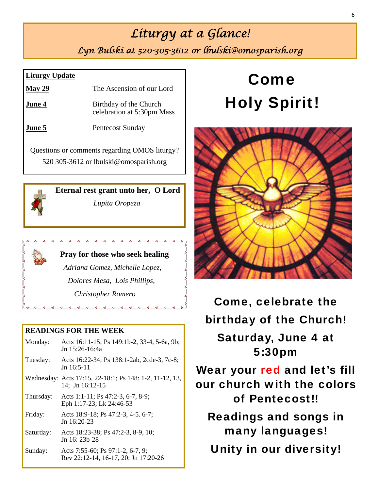## *Liturgy at a Glance!*

*Lyn Bulski at 520-305-3612 or lbulski@omosparish.org* 

## **Liturgy Update**

| $\text{May } 29$ | The Ascension of our Lord                            |
|------------------|------------------------------------------------------|
| June 4           | Birthday of the Church<br>celebration at 5:30pm Mass |
| June 5           | Pentecost Sunday                                     |
|                  | Questions or comments regarding OMOS liturgy?        |

520 305-3612 or lbulski@omosparish.org



**Eternal rest grant unto her, O Lord**

*Lupita Oropeza*



## **READINGS FOR THE WEEK**

| Monday:   | Acts 16:11-15; Ps 149:1b-2, 33-4, 5-6a, 9b;<br>Jn 15:26-16:4a              |
|-----------|----------------------------------------------------------------------------|
| Tuesday:  | Acts 16:22-34; Ps 138:1-2ab, 2cde-3, 7c-8;<br>$Jn$ 16:5-11                 |
|           | Wednesday: Acts 17:15, 22-18:1; Ps 148: 1-2, 11-12, 13,<br>14: Jn 16:12-15 |
| Thursday: | Acts 1:1-11; Ps 47:2-3, 6-7, 8-9;<br>Eph 1:17-23; Lk 24:46-53              |
| Friday:   | Acts 18:9-18; Ps 47:2-3, 4-5. 6-7;<br>Jn $16:20-23$                        |
| Saturday: | Acts 18:23-38; Ps 47:2-3, 8-9, 10;<br>Jn 16: 23b-28                        |
| Sunday:   | Acts 7:55-60; Ps 97:1-2, 6-7, 9;<br>Rev 22:12-14, 16-17, 20: Jn 17:20-26   |

# Come Holy Spirit!



Come, celebrate the birthday of the Church! Saturday, June 4 at 5:30pm Wear your red and let's fill our church with the colors of Pentecost!! Readings and songs in many languages! Unity in our diversity!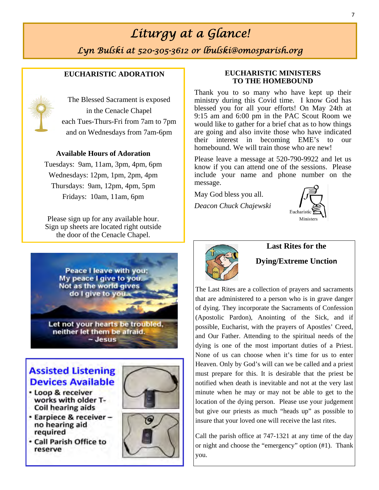## *Liturgy at a Glance!*

*Lyn Bulski at 520-305-3612 or lbulski@omosparish.org* 

### **EUCHARISTIC ADORATION**



The Blessed Sacrament is exposed in the Cenacle Chapel each Tues-Thurs-Fri from 7am to 7pm and on Wednesdays from 7am-6pm

## **Available Hours of Adoration**

Tuesdays: 9am, 11am, 3pm, 4pm, 6pm Wednesdays: 12pm, 1pm, 2pm, 4pm Thursdays: 9am, 12pm, 4pm, 5pm Fridays: 10am, 11am, 6pm

Please sign up for any available hour. Sign up sheets are located right outside the door of the Cenacle Chapel.



## **Assisted Listening Devices Available**

- · Loop & receiver works with older T-Coil hearing aids
- Earpiece & receiverno hearing aid required
- . Call Parish Office to reserve





## **EUCHARISTIC MINISTERS TO THE HOMEBOUND**

Thank you to so many who have kept up their ministry during this Covid time. I know God has blessed you for all your efforts! On May 24th at 9:15 am and 6:00 pm in the PAC Scout Room we would like to gather for a brief chat as to how things are going and also invite those who have indicated their interest in becoming EME's to our homebound. We will train those who are new!

Please leave a message at 520-790-9922 and let us know if you can attend one of the sessions. Please include your name and phone number on the message.

May God bless you all.

*Deacon Chuck Chajewski* 





## **Last Rites for the**

### **Dying/Extreme Unction**

The Last Rites are a collection of prayers and sacraments that are administered to a person who is in grave danger of dying. They incorporate the Sacraments of Confession (Apostolic Pardon), Anointing of the Sick, and if possible, Eucharist, with the prayers of Apostles' Creed, and Our Father. Attending to the spiritual needs of the dying is one of the most important duties of a Priest. None of us can choose when it's time for us to enter Heaven. Only by God's will can we be called and a priest must prepare for this. It is desirable that the priest be notified when death is inevitable and not at the very last minute when he may or may not be able to get to the location of the dying person. Please use your judgement but give our priests as much "heads up" as possible to insure that your loved one will receive the last rites.

Call the parish office at 747-1321 at any time of the day or night and choose the "emergency" option (#1). Thank you.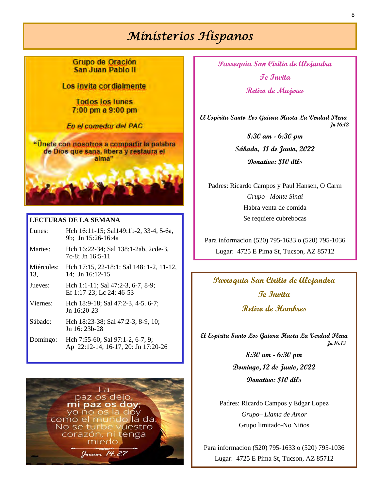## *Ministerios Hispanos*

Grupo de Oración San Juan Pablo II

Los invita cordialmente

**Todos los lunes** 7:00 pm a 9:00 pm

En el comedor del PAC

"Unete con nosotros a compartir la palabra de Dios que sana, libera y restaura el alma"

### **LECTURAS DE LA SEMANA**

| Lunes:            | Hch 16:11-15; Sal149:1b-2, 33-4, 5-6a,<br>9b; Jn 15:26-16:4a            |
|-------------------|-------------------------------------------------------------------------|
| Martes:           | Hch 16:22-34; Sal 138:1-2ab, 2cde-3,<br>7c-8; Jn 16:5-11                |
| Miércoles:<br>13, | Hch 17:15, 22-18:1; Sal 148: 1-2, 11-12,<br>14; Jn 16:12-15             |
| Jueves:           | Hch 1:1-11; Sal 47:2-3, 6-7, 8-9;<br>Ef 1:17-23; Lc 24: 46-53           |
| Viernes:          | Hch 18:9-18; Sal 47:2-3, 4-5. 6-7;<br>Jn $16:20-23$                     |
| Sábado:           | Hch 18:23-38; Sal 47:2-3, 8-9, 10;<br>Jn 16: 23b-28                     |
| Domingo:          | Hch 7:55-60; Sal 97:1-2, 6-7, 9;<br>Ap 22:12-14, 16-17, 20: Jn 17:20-26 |



**Parroquia San Cirilio de Alejandra Te Invita Retiro de Mujeres** 

 **El Espiritu Santo Los Guiara Hasta La Verdad Plena Jn 16:13**

> **8:30 am - 6:30 pm Sábado, 11 de Junio, 2022 Donativo: \$10 dlls**

Padres: Ricardo Campos y Paul Hansen, O Carm *Grupo– Monte Sinaí*  Habra venta de comida Se requiere cubrebocas

Para informacion (520) 795-1633 o (520) 795-1036 Lugar: 4725 E Pima St, Tucson, AZ 85712

## **Parroquia San Cirilio de Alejandra Te Invita**

**Retiro de Hombres** 

**El Espiritu Santo Los Guiara Hasta La Verdad Plena Jn 16:13**

> **8:30 am - 6:30 pm Domingo, 12 de Junio, 2022 Donativo: \$10 dlls**

Padres: Ricardo Campos y Edgar Lopez *Grupo– Llama de Amor*  Grupo limitado-No Niños

Para informacion (520) 795-1633 o (520) 795-1036 Lugar: 4725 E Pima St, Tucson, AZ 85712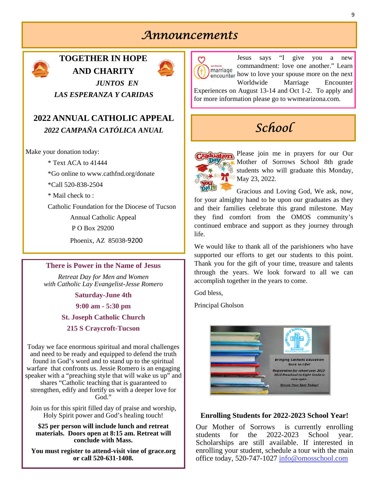## *Announcements*



## **TOGETHER IN HOPE AND CHARITY**



*JUNTOS EN LAS ESPERANZA Y CARIDAS* 

## **2022 ANNUAL CATHOLIC APPEAL**  *2022 CAMPAÑA CATÓLICA ANUAL*

Make your donation today:

\* Text ACA to 41444

\*Go online to www.cathfnd.org/donate

\*Call 520-838-2504

\* Mail check to :

Catholic Foundation for the Diocese of Tucson

Annual Catholic Appeal

P O Box 29200

Phoenix, AZ 85038‐9200

### **There is Power in the Name of Jesus**

*Retreat Day for Men and Women with Catholic Lay Evangelist-Jesse Romero* 

**Saturday-June 4th** 

**9:00 am - 5:30 pm** 

**St. Joseph Catholic Church** 

**215 S Craycroft-Tucson** 

Today we face enormous spiritual and moral challenges and need to be ready and equipped to defend the truth found in God's word and to stand up to the spiritual warfare that confronts us. Jessie Romero is an engaging speaker with a "preaching style that will wake us up" and shares "Catholic teaching that is guaranteed to strengthen, edify and fortify us with a deeper love for God."

Join us for this spirit filled day of praise and worship, Holy Spirit power and God's healing touch!

**\$25 per person will include lunch and retreat materials. Doors open at 8:15 am. Retreat will conclude with Mass.** 

**You must register to attend-visit vine of grace.org or call 520-631-1408.**



## *School*



Please join me in prayers for our Our Mother of Sorrows School 8th grade students who will graduate this Monday, May 23, 2022.

Gracious and Loving God, We ask, now, for your almighty hand to be upon our graduates as they and their families celebrate this grand milestone. May they find comfort from the OMOS community's continued embrace and support as they journey through life.

We would like to thank all of the parishioners who have supported our efforts to get our students to this point. Thank you for the gift of your time, treasure and talents through the years. We look forward to all we can accomplish together in the years to come.

God bless,

Principal Gholson



## **Enrolling Students for 2022-2023 School Year!**

Our Mother of Sorrows is currently enrolling students for the 2022-2023 School year. Scholarships are still available. If interested in enrolling your student, schedule a tour with the main office today, 520-747-1027 info@omosschool.com